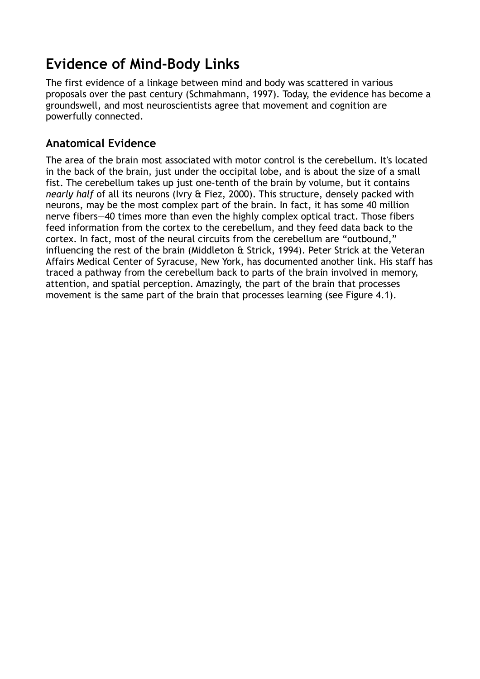## **Evidence of Mind-Body Links**

The first evidence of a linkage between mind and body was scattered in various proposals over the past century (Schmahmann, 1997). Today, the evidence has become a groundswell, and most neuroscientists agree that movement and cognition are powerfully connected.

## **Anatomical Evidence**

The area of the brain most associated with motor control is the cerebellum. It's located in the back of the brain, just under the occipital lobe, and is about the size of a small fist. The cerebellum takes up just one-tenth of the brain by volume, but it contains *nearly half* of all its neurons (Ivry & Fiez, 2000). This structure, densely packed with neurons, may be the most complex part of the brain. In fact, it has some 40 million nerve fibers—40 times more than even the highly complex optical tract. Those fibers feed information from the cortex to the cerebellum, and they feed data back to the cortex. In fact, most of the neural circuits from the cerebellum are "outbound," influencing the rest of the brain (Middleton & Strick, 1994). Peter Strick at the Veteran Affairs Medical Center of Syracuse, New York, has documented another link. His staff has traced a pathway from the cerebellum back to parts of the brain involved in memory, attention, and spatial perception. Amazingly, the part of the brain that processes movement is the same part of the brain that processes learning (see Figure 4.1).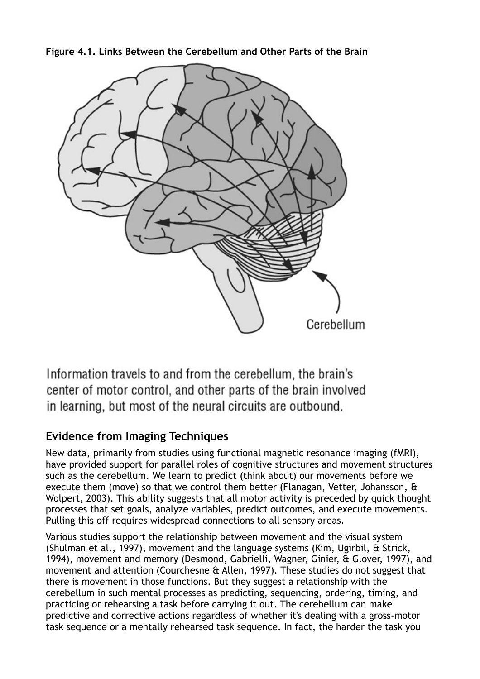**Figure 4.1. Links Between the Cerebellum and Other Parts of the Brain**



Information travels to and from the cerebellum, the brain's center of motor control, and other parts of the brain involved in learning, but most of the neural circuits are outbound.

## **Evidence from Imaging Techniques**

New data, primarily from studies using functional magnetic resonance imaging (fMRI), have provided support for parallel roles of cognitive structures and movement structures such as the cerebellum. We learn to predict (think about) our movements before we execute them (move) so that we control them better (Flanagan, Vetter, Johansson, & Wolpert, 2003). This ability suggests that all motor activity is preceded by quick thought processes that set goals, analyze variables, predict outcomes, and execute movements. Pulling this off requires widespread connections to all sensory areas.

Various studies support the relationship between movement and the visual system (Shulman et al., 1997), movement and the language systems (Kim, Ugirbil, & Strick, 1994), movement and memory (Desmond, Gabrielli, Wagner, Ginier, & Glover, 1997), and movement and attention (Courchesne & Allen, 1997). These studies do not suggest that there is movement in those functions. But they suggest a relationship with the cerebellum in such mental processes as predicting, sequencing, ordering, timing, and practicing or rehearsing a task before carrying it out. The cerebellum can make predictive and corrective actions regardless of whether it's dealing with a gross-motor task sequence or a mentally rehearsed task sequence. In fact, the harder the task you